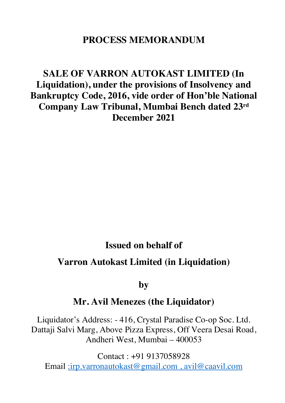# **PROCESS MEMORANDUM**

# **SALE OF VARRON AUTOKAST LIMITED (In Liquidation), under the provisions of Insolvency and Bankruptcy Code, 2016, vide order of Hon'ble National Company Law Tribunal, Mumbai Bench dated 23rd December 2021**

# **Issued on behalf of**

# **Varron Autokast Limited (in Liquidation)**

**by** 

# **Mr. Avil Menezes (the Liquidator)**

Liquidator's Address: - 416, Crystal Paradise Co-op Soc. Ltd. Dattaji Salvi Marg, Above Pizza Express, Off Veera Desai Road, Andheri West, Mumbai – 400053

Contact : +91 9137058928 Email :irp.varronautokast@gmail.com , avil@caavil.com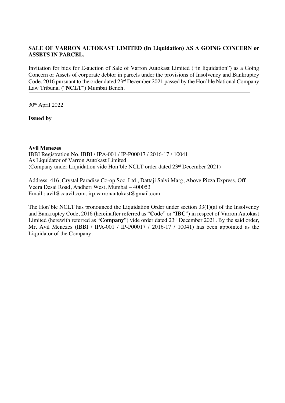## **SALE OF VARRON AUTOKAST LIMITED (In Liquidation) AS A GOING CONCERN or ASSETS IN PARCEL.**

Invitation for bids for E-auction of Sale of Varron Autokast Limited ("in liquidation") as a Going Concern or Assets of corporate debtor in parcels under the provisions of Insolvency and Bankruptcy Code, 2016 pursuant to the order dated 23rd December 2021 passed by the Hon'ble National Company Law Tribunal ("**NCLT**") Mumbai Bench.

30th April 2022

**Issued by**

**Avil Menezes**

IBBI Registration No. IBBI / IPA-001 / IP-P00017 / 2016-17 / 10041 As Liquidator of Varron Autokast Limited (Company under Liquidation vide Hon'ble NCLT order dated 23rd December 2021)

Address: 416, Crystal Paradise Co-op Soc. Ltd., Dattaji Salvi Marg, Above Pizza Express, Off Veera Desai Road, Andheri West, Mumbai – 400053 Email : avil@caavil.com, irp.varronautokast@gmail.com

The Hon'ble NCLT has pronounced the Liquidation Order under section 33(1)(a) of the Insolvency and Bankruptcy Code, 2016 (hereinafter referred as "**Cod**e" or "**IBC**") in respect of Varron Autokast Limited (herewith referred as "**Company**") vide order dated 23rd December 2021. By the said order, Mr. Avil Menezes (IBBI / IPA-001 / IP-P00017 / 2016-17 / 10041) has been appointed as the Liquidator of the Company.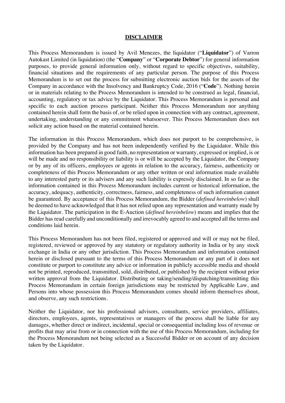#### **DISCLAIMER**

This Process Memorandum is issued by Avil Menezes, the liquidator ("**Liquidator**") of Varron Autokast Limited (in liquidation) (the "**Company**" or "**Corporate Debtor**") for general information purposes, to provide general information only, without regard to specific objectives, suitability, financial situations and the requirements of any particular person. The purpose of this Process Memorandum is to set out the process for submitting electronic auction bids for the assets of the Company in accordance with the Insolvency and Bankruptcy Code, 2016 ("**Code**"). Nothing herein or in materials relating to the Process Memorandum is intended to be construed as legal, financial, accounting, regulatory or tax advice by the Liquidator. This Process Memorandum is personal and specific to each auction process participant. Neither this Process Memorandum nor anything contained herein shall form the basis of, or be relied upon in connection with any contract, agreement, undertaking, understanding or any commitment whatsoever. This Process Memorandum does not solicit any action based on the material contained herein.

The information in this Process Memorandum, which does not purport to be comprehensive, is provided by the Company and has not been independently verified by the Liquidator. While this information has been prepared in good faith, no representation or warranty, expressed or implied, is or will be made and no responsibility or liability is or will be accepted by the Liquidator, the Company or by any of its officers, employees or agents in relation to the accuracy, fairness, authenticity or completeness of this Process Memorandum or any other written or oral information made available to any interested party or its advisers and any such liability is expressly disclaimed. In so far as the information contained in this Process Memorandum includes current or historical information, the accuracy, adequacy, authenticity, correctness, fairness, and completeness of such information cannot be guaranteed. By acceptance of this Process Memorandum, the Bidder (*defined hereinbelow*) shall be deemed to have acknowledged that it has not relied upon any representation and warranty made by the Liquidator. The participation in the E-Auction (*defined hereinbelow*) means and implies that the Bidder has read carefully and unconditionally and irrevocably agreed to and accepted all the terms and conditions laid herein.

This Process Memorandum has not been filed, registered or approved and will or may not be filed, registered, reviewed or approved by any statutory or regulatory authority in India or by any stock exchange in India or any other jurisdiction. This Process Memorandum and information contained herein or disclosed pursuant to the terms of this Process Memorandum or any part of it does not constitute or purport to constitute any advice or information in publicly accessible media and should not be printed, reproduced, transmitted, sold, distributed, or published by the recipient without prior written approval from the Liquidator. Distributing or taking/sending/dispatching/transmitting this Process Memorandum in certain foreign jurisdictions may be restricted by Applicable Law, and Persons into whose possession this Process Memorandum comes should inform themselves about, and observe, any such restrictions.

Neither the Liquidator, nor his professional advisors, consultants, service providers, affiliates, directors, employees, agents, representatives or managers of the process shall be liable for any damages, whether direct or indirect, incidental, special or consequential including loss of revenue or profits that may arise from or in connection with the use of this Process Memorandum, including for the Process Memorandum not being selected as a Successful Bidder or on account of any decision taken by the Liquidator.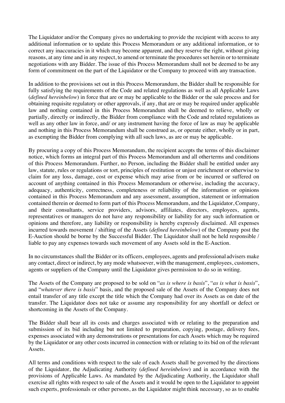The Liquidator and/or the Company gives no undertaking to provide the recipient with access to any additional information or to update this Process Memorandum or any additional information, or to correct any inaccuracies in it which may become apparent, and they reserve the right, without giving reasons, at any time and in any respect, to amend or terminate the procedures set herein or to terminate negotiations with any Bidder. The issue of this Process Memorandum shall not be deemed to be any form of commitment on the part of the Liquidator or the Company to proceed with any transaction.

In addition to the provisions set out in this Process Memorandum, the Bidder shall be responsible for fully satisfying the requirements of the Code and related regulations as well as all Applicable Laws (*defined hereinbelow*) in force that are or may be applicable to the Bidder or the sale process and for obtaining requisite regulatory or other approvals, if any, that are or may be required under applicable law and nothing contained in this Process Memorandum shall be deemed to relieve, wholly or partially, directly or indirectly, the Bidder from compliance with the Code and related regulations as well as any other law in force, and/ or any instrument having the force of law as may be applicable and nothing in this Process Memorandum shall be construed as, or operate either, wholly or in part, as exempting the Bidder from complying with all such laws, as are or may be applicable.

By procuring a copy of this Process Memorandum, the recipient accepts the terms of this disclaimer notice, which forms an integral part of this Process Memorandum and all otherterms and conditions of this Process Memorandum. Further, no Person, including the Bidder shall be entitled under any law, statute, rules or regulations or tort, principles of restitution or unjust enrichment or otherwise to claim for any loss, damage, cost or expense which may arise from or be incurred or suffered on account of anything contained in this Process Memorandum or otherwise, including the accuracy, adequacy, authenticity, correctness, completeness or reliability of the information or opinions contained in this Process Memorandum and any assessment, assumption, statement or information contained therein or deemed to form part of this Process Memorandum, and the Liquidator, Company, and their consultants, service providers, advisors, affiliates, directors, employees, agents, representatives or managers do not have any responsibility or liability for any such information or opinions and therefore, any liability or responsibility is hereby expressly disclaimed. All expenses incurred towards movement / shifting of the Assets (*defined hereinbelow*) of the Company post the E-Auction should be borne by the Successful Bidder. The Liquidator shall not be held responsible / liable to pay any expenses towards such movement of any Assets sold in the E-Auction.

In no circumstances shall the Bidder or its officers, employees, agents and professional advisers make any contact, direct or indirect, by any mode whatsoever, with the management, employees, customers, agents or suppliers of the Company until the Liquidator gives permission to do so in writing.

The Assets of the Company are proposed to be sold on "*as is where is basis*", "*as is what is basis*", and "*whatever there is basis*" basis, and the proposed sale of the Assets of the Company does not entail transfer of any title except the title which the Company had over its Assets as on date of the transfer. The Liquidator does not take or assume any responsibility for any shortfall or defect or shortcoming in the Assets of the Company.

The Bidder shall bear all its costs and charges associated with or relating to the preparation and submission of its bid including but not limited to preparation, copying, postage, delivery fees, expenses associated with any demonstrations or presentations for each Assets which may be required by the Liquidator or any other costs incurred in connection with or relating to its bid on of the relevant Assets.

All terms and conditions with respect to the sale of each Assets shall be governed by the directions of the Liquidator, the Adjudicating Authority (*defined hereinbelow*) and in accordance with the provisions of Applicable Laws. As mandated by the Adjudicating Authority, the Liquidator shall exercise all rights with respect to sale of the Assets and it would be open to the Liquidator to appoint such experts, professionals or other persons, as the Liquidator might think necessary, so as to enable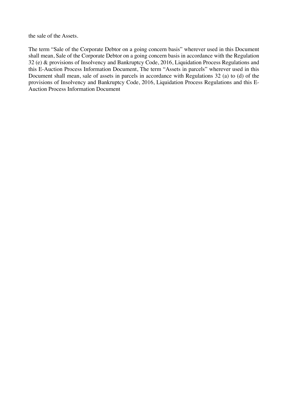the sale of the Assets.

The term "Sale of the Corporate Debtor on a going concern basis" wherever used in this Document shall mean, Sale of the Corporate Debtor on a going concern basis in accordance with the Regulation 32 (e) & provisions of Insolvency and Bankruptcy Code, 2016, Liquidation Process Regulations and this E-Auction Process Information Document, The term "Assets in parcels" wherever used in this Document shall mean, sale of assets in parcels in accordance with Regulations 32 (a) to (d) of the provisions of Insolvency and Bankruptcy Code, 2016, Liquidation Process Regulations and this E-Auction Process Information Document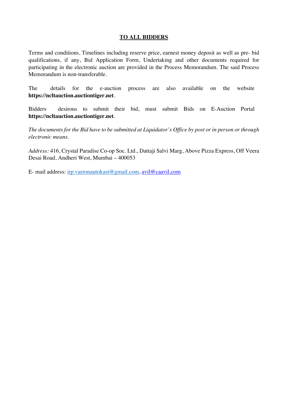#### **TO ALL BIDDERS**

Terms and conditions, Timelines including reserve price, earnest money deposit as well as pre- bid qualifications, if any, Bid Application Form, Undertaking and other documents required for participating in the electronic auction are provided in the Process Memorandum. The said Process Memorandum is non-transferable.

The details for the e-auction process are also available on the website **https://ncltauction.auctiontiger.net**.

Bidders desirous to submit their bid, must submit Bids on E-Auction Portal **https://ncltauction.auctiontiger.net**.

*The documents for the Bid have to be submitted at Liquidator's Office by post or in person or through electronic means.*

*Address:* 416, Crystal Paradise Co-op Soc. Ltd., Dattaji Salvi Marg, Above Pizza Express, Off Veera Desai Road, Andheri West, Mumbai – 400053

E- mail address: irp.varronautokast@gmail.com, avil@caavil.com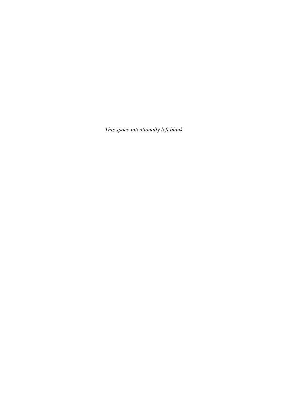*This space intentionally left blank*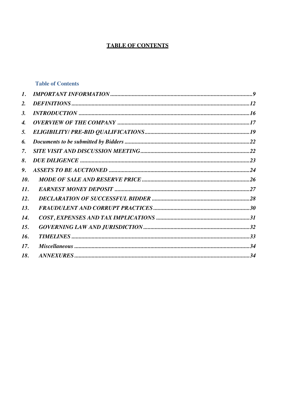# **TABLE OF CONTENTS**

## **Table of Contents**

| 1.  |  |
|-----|--|
| 2.  |  |
| 3.  |  |
| 4.  |  |
| 5.  |  |
| 6.  |  |
| 7.  |  |
| 8.  |  |
| 9.  |  |
| 10. |  |
| 11. |  |
| 12. |  |
| 13. |  |
| 14. |  |
| 15. |  |
| 16. |  |
| 17. |  |
| 18. |  |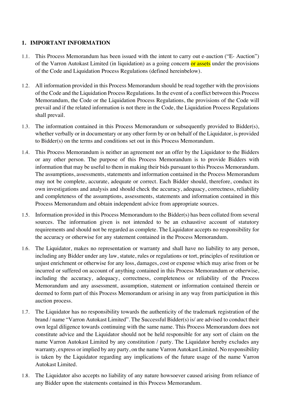## **1. IMPORTANT INFORMATION**

- 1.1. This Process Memorandum has been issued with the intent to carry out e-auction ("E- Auction") of the Varron Autokast Limited (in liquidation) as a going concern or assets under the provisions of the Code and Liquidation Process Regulations (defined hereinbelow).
- 1.2. All information provided in this Process Memorandum should be read together with the provisions of the Code and the Liquidation Process Regulations. In the event of a conflict between this Process Memorandum, the Code or the Liquidation Process Regulations, the provisions of the Code will prevail and if the related information is not there in the Code, the Liquidation Process Regulations shall prevail.
- 1.3. The information contained in this Process Memorandum or subsequently provided to Bidder(s), whether verbally or in documentary or any other form by or on behalf of the Liquidator, is provided to Bidder(s) on the terms and conditions set out in this Process Memorandum.
- 1.4. This Process Memorandum is neither an agreement nor an offer by the Liquidator to the Bidders or any other person. The purpose of this Process Memorandum is to provide Bidders with information that may be useful to them in making their bids pursuant to this Process Memorandum. The assumptions, assessments, statements and information contained in the Process Memorandum may not be complete, accurate, adequate or correct. Each Bidder should, therefore, conduct its own investigations and analysis and should check the accuracy, adequacy, correctness, reliability and completeness of the assumptions, assessments, statements and information contained in this Process Memorandum and obtain independent advice from appropriate sources.
- 1.5. Information provided in this Process Memorandum to the Bidder(s) has been collated from several sources. The information given is not intended to be an exhaustive account of statutory requirements and should not be regarded as complete. The Liquidator accepts no responsibility for the accuracy or otherwise for any statement contained in the Process Memorandum.
- 1.6. The Liquidator, makes no representation or warranty and shall have no liability to any person, including any Bidder under any law, statute, rules or regulations or tort, principles of restitution or unjust enrichment or otherwise for any loss, damages, cost or expense which may arise from or be incurred or suffered on account of anything contained in this Process Memorandum or otherwise, including the accuracy, adequacy, correctness, completeness or reliability of the Process Memorandum and any assessment, assumption, statement or information contained therein or deemed to form part of this Process Memorandum or arising in any way from participation in this auction process.
- 1.7. The Liquidator has no responsibility towards the authenticity of the trademark registration of the brand / name "Varron Autokast Limited". The Successful Bidder(s) is/ are advised to conduct their own legal diligence towards continuing with the same name. This Process Memorandum does not constitute advice and the Liquidator should not be held responsible for any sort of claim on the name Varron Autokast Limited by any constitution / party. The Liquidator hereby excludes any warranty, express or implied by any party, on the name Varron Autokast Limited. No responsibility is taken by the Liquidator regarding any implications of the future usage of the name Varron Autokast Limited.
- 1.8. The Liquidator also accepts no liability of any nature howsoever caused arising from reliance of any Bidder upon the statements contained in this Process Memorandum.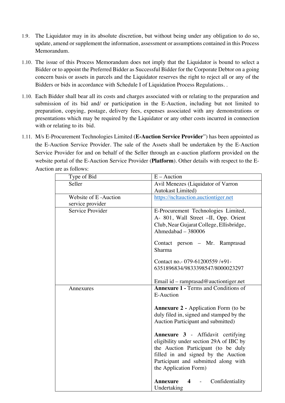- 1.9. The Liquidator may in its absolute discretion, but without being under any obligation to do so, update, amend or supplement the information, assessment or assumptions contained in this Process Memorandum.
- 1.10. The issue of this Process Memorandum does not imply that the Liquidator is bound to select a Bidder or to appoint the Preferred Bidder as Successful Bidder for the Corporate Debtor on a going concern basis or assets in parcels and the Liquidator reserves the right to reject all or any of the Bidders or bids in accordance with Schedule I of Liquidation Process Regulations. .
- 1.10. Each Bidder shall bear all its costs and charges associated with or relating to the preparation and submission of its bid and/ or participation in the E-Auction, including but not limited to preparation, copying, postage, delivery fees, expenses associated with any demonstrations or presentations which may be required by the Liquidator or any other costs incurred in connection with or relating to its bid.
- 1.11. M/s E-Procurement Technologies Limited (**E-Auction Service Provider**") has been appointed as the E-Auction Service Provider. The sale of the Assets shall be undertaken by the E-Auction Service Provider for and on behalf of the Seller through an e-auction platform provided on the website portal of the E-Auction Service Provider (**Platform**). Other details with respect to the E-Auction are as follows:

| Type of Bid          | $E -$ Auction                                                                                                                                                                                                                      |  |
|----------------------|------------------------------------------------------------------------------------------------------------------------------------------------------------------------------------------------------------------------------------|--|
| Seller               | Avil Menezes (Liquidator of Varron                                                                                                                                                                                                 |  |
|                      | <b>Autokast Limited)</b>                                                                                                                                                                                                           |  |
| Website of E-Auction | https://ncltauction.auctiontiger.net                                                                                                                                                                                               |  |
| service provider     |                                                                                                                                                                                                                                    |  |
| Service Provider     | E-Procurement Technologies Limited,<br>A- 801, Wall Street -II, Opp. Orient                                                                                                                                                        |  |
|                      | Club, Near Gujarat College, Ellisbridge,                                                                                                                                                                                           |  |
|                      | Ahmedabad - 380006                                                                                                                                                                                                                 |  |
|                      | Contact person – Mr. Ramprasad<br>Sharma                                                                                                                                                                                           |  |
|                      | Contact no. - 079-61200559 /+91 -<br>6351896834/9833398547/8000023297                                                                                                                                                              |  |
|                      | Email id – ramprasad@auctiontiger.net                                                                                                                                                                                              |  |
| Annexures            | <b>Annexure 1 - Terms and Conditions of</b><br>E-Auction                                                                                                                                                                           |  |
|                      | <b>Annexure 2 - Application Form (to be</b>                                                                                                                                                                                        |  |
|                      | duly filed in, signed and stamped by the                                                                                                                                                                                           |  |
|                      | Auction Participant and submitted)                                                                                                                                                                                                 |  |
|                      | <b>Annexure 3</b> - Affidavit certifying<br>eligibility under section 29A of IBC by<br>the Auction Participant (to be duly<br>filled in and signed by the Auction<br>Participant and submitted along with<br>the Application Form) |  |
|                      | Confidentiality<br><b>Annexure</b><br>$\overline{\mathbf{4}}$<br>Undertaking                                                                                                                                                       |  |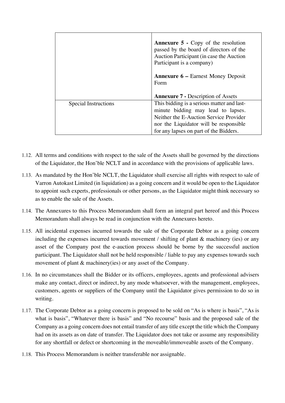|                      | <b>Annexure 5 - Copy of the resolution</b><br>passed by the board of directors of the<br>Auction Participant (in case the Auction<br>Participant is a company)                                                 |
|----------------------|----------------------------------------------------------------------------------------------------------------------------------------------------------------------------------------------------------------|
|                      | <b>Annexure 6 – Earnest Money Deposit</b><br>Form                                                                                                                                                              |
|                      | <b>Annexure 7 - Description of Assets</b>                                                                                                                                                                      |
| Special Instructions | This bidding is a serious matter and last-<br>minute bidding may lead to lapses.<br>Neither the E-Auction Service Provider<br>nor the Liquidator will be responsible<br>for any lapses on part of the Bidders. |

- 1.12. All terms and conditions with respect to the sale of the Assets shall be governed by the directions of the Liquidator, the Hon'ble NCLT and in accordance with the provisions of applicable laws.
- 1.13. As mandated by the Hon'ble NCLT, the Liquidator shall exercise all rights with respect to sale of Varron Autokast Limited (in liquidation) as a going concern and it would be open to the Liquidator to appoint such experts, professionals or other persons, as the Liquidator might think necessary so as to enable the sale of the Assets.
- 1.14. The Annexures to this Process Memorandum shall form an integral part hereof and this Process Memorandum shall always be read in conjunction with the Annexures hereto.
- 1.15. All incidental expenses incurred towards the sale of the Corporate Debtor as a going concern including the expenses incurred towards movement / shifting of plant & machinery (ies) or any asset of the Company post the e-auction process should be borne by the successful auction participant. The Liquidator shall not be held responsible / liable to pay any expenses towards such movement of plant & machinery(ies) or any asset of the Company.
- 1.16. In no circumstances shall the Bidder or its officers, employees, agents and professional advisers make any contact, direct or indirect, by any mode whatsoever, with the management, employees, customers, agents or suppliers of the Company until the Liquidator gives permission to do so in writing.
- 1.17. The Corporate Debtor as a going concern is proposed to be sold on "As is where is basis", "As is what is basis", "Whatever there is basis" and "No recourse" basis and the proposed sale of the Company as a going concern does not entail transfer of any title except the title which the Company had on its assets as on date of transfer. The Liquidator does not take or assume any responsibility for any shortfall or defect or shortcoming in the moveable/immoveable assets of the Company.
- 1.18. This Process Memorandum is neither transferable nor assignable.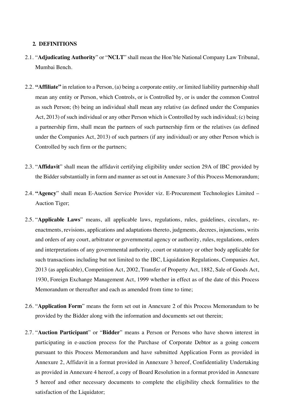#### **2. DEFINITIONS**

- 2.1. "**Adjudicating Authority**" or "**NCLT**" shall mean the Hon'ble National Company Law Tribunal, Mumbai Bench.
- 2.2. **"Affiliate"** in relation to a Person, (a) being a corporate entity, or limited liability partnership shall mean any entity or Person, which Controls, or is Controlled by, or is under the common Control as such Person; (b) being an individual shall mean any relative (as defined under the Companies Act, 2013) of such individual or any other Person which is Controlled by such individual; (c) being a partnership firm, shall mean the partners of such partnership firm or the relatives (as defined under the Companies Act, 2013) of such partners (if any individual) or any other Person which is Controlled by such firm or the partners;
- 2.3. "**Affidavit**" shall mean the affidavit certifying eligibility under section 29A of IBC provided by the Bidder substantially in form and manner as set out in Annexure 3 of this Process Memorandum;
- 2.4. **"Agency**" shall mean E-Auction Service Provider viz. E-Procurement Technologies Limited Auction Tiger;
- 2.5. "**Applicable Laws**" means, all applicable laws, regulations, rules, guidelines, circulars, reenactments, revisions, applications and adaptations thereto, judgments, decrees, injunctions, writs and orders of any court, arbitrator or governmental agency or authority, rules, regulations, orders and interpretations of any governmental authority, court or statutory or other body applicable for such transactions including but not limited to the IBC, Liquidation Regulations, Companies Act, 2013 (as applicable), Competition Act, 2002, Transfer of Property Act, 1882, Sale of Goods Act, 1930, Foreign Exchange Management Act, 1999 whether in effect as of the date of this Process Memorandum or thereafter and each as amended from time to time;
- 2.6. "**Application Form**" means the form set out in Annexure 2 of this Process Memorandum to be provided by the Bidder along with the information and documents set out therein;
- 2.7. "**Auction Participant**" or "**Bidder**" means a Person or Persons who have shown interest in participating in e-auction process for the Purchase of Corporate Debtor as a going concern pursuant to this Process Memorandum and have submitted Application Form as provided in Annexure 2, Affidavit in a format provided in Annexure 3 hereof, Confidentiality Undertaking as provided in Annexure 4 hereof, a copy of Board Resolution in a format provided in Annexure 5 hereof and other necessary documents to complete the eligibility check formalities to the satisfaction of the Liquidator;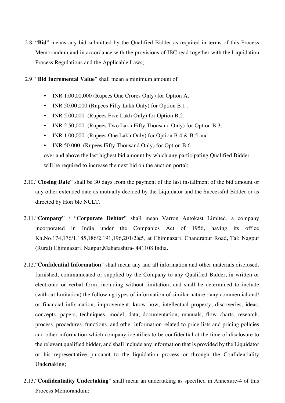- 2.8. "**Bid**" means any bid submitted by the Qualified Bidder as required in terms of this Process Memorandum and in accordance with the provisions of IBC read together with the Liquidation Process Regulations and the Applicable Laws;
- 2.9. "**Bid Incremental Value**" shall mean a minimum amount of
	- INR 1,00,00,000 (Rupees One Crores Only) for Option A,
	- INR 50,00,000 (Rupees Fifty Lakh Only) for Option B.1,
	- INR 5,00,000 (Rupees Five Lakh Only) for Option B.2,
	- INR 2,50,000 (Rupees Two Lakh Fifty Thousand Only) for Option B.3,
	- INR 1,00,000 (Rupees One Lakh Only) for Option B.4  $&$  B.5 and
	- INR 50,000 (Rupees Fifty Thousand Only) for Option B.6 over and above the last highest bid amount by which any participating Qualified Bidder will be required to increase the next bid on the auction portal;
- 2.10."**Closing Date**" shall be 30 days from the payment of the last installment of the bid amount or any other extended date as mutually decided by the Liquidator and the Successful Bidder or as directed by Hon'ble NCLT.
- 2.11."**Company**" / "**Corporate Debtor**" shall mean Varron Autokast Limited, a company incorporated in India under the Companies Act of 1956, having its office Kh.No.174,176/1,185,186/2,191,196,201/2&5, at Chimnazari, Chandrapur Road, Tal: Nagpur (Rural) Chimnazari, Nagpur,Maharashtra- 441108 India.
- 2.12."**Confidential Information**" shall mean any and all information and other materials disclosed, furnished, communicated or supplied by the Company to any Qualified Bidder, in written or electronic or verbal form, including without limitation, and shall be determined to include (without limitation) the following types of information of similar nature : any commercial and/ or financial information, improvement, know how, intellectual property, discoveries, ideas, concepts, papers, techniques, model, data, documentation, manuals, flow charts, research, process, procedures, functions, and other information related to price lists and pricing policies and other information which company identifies to be confidential at the time of disclosure to the relevant qualified bidder, and shall include any information that is provided by the Liquidator or his representative pursuant to the liquidation process or through the Confidentiality Undertaking;
- 2.13."**Confidentiality Undertaking**" shall mean an undertaking as specified in Annexure-4 of this Process Memorandum;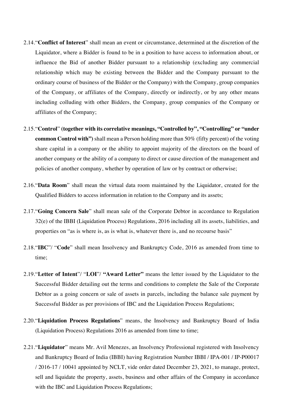- 2.14."**Conflict of Interest**" shall mean an event or circumstance, determined at the discretion of the Liquidator, where a Bidder is found to be in a position to have access to information about, or influence the Bid of another Bidder pursuant to a relationship (excluding any commercial relationship which may be existing between the Bidder and the Company pursuant to the ordinary course of business of the Bidder or the Company) with the Company, group companies of the Company, or affiliates of the Company, directly or indirectly, or by any other means including colluding with other Bidders, the Company, group companies of the Company or affiliates of the Company;
- 2.15."**Control**" **(together with its correlative meanings, "Controlled by", "Controlling" or "under common Control with"**) shall mean a Person holding more than 50% (fifty percent) of the voting share capital in a company or the ability to appoint majority of the directors on the board of another company or the ability of a company to direct or cause direction of the management and policies of another company, whether by operation of law or by contract or otherwise;
- 2.16."**Data Room**" shall mean the virtual data room maintained by the Liquidator, created for the Qualified Bidders to access information in relation to the Company and its assets;
- 2.17."**Going Concern Sale**" shall mean sale of the Corporate Debtor in accordance to Regulation 32(e) of the IBBI (Liquidation Process) Regulations, 2016 including all its assets, liabilities, and properties on "as is where is, as is what is, whatever there is, and no recourse basis"
- 2.18."**IBC**"/ "**Code**" shall mean Insolvency and Bankruptcy Code, 2016 as amended from time to time;
- 2.19."**Letter of Intent**"/ "**LOI**"/ **"Award Letter"** means the letter issued by the Liquidator to the Successful Bidder detailing out the terms and conditions to complete the Sale of the Corporate Debtor as a going concern or sale of assets in parcels, including the balance sale payment by Successful Bidder as per provisions of IBC and the Liquidation Process Regulations;
- 2.20."**Liquidation Process Regulations**" means, the Insolvency and Bankruptcy Board of India (Liquidation Process) Regulations 2016 as amended from time to time;
- 2.21."**Liquidator**" means Mr. Avil Menezes, an Insolvency Professional registered with Insolvency and Bankruptcy Board of India (IBBI) having Registration Number IBBI / IPA-001 / IP-P00017 / 2016-17 / 10041 appointed by NCLT, vide order dated December 23, 2021, to manage, protect, sell and liquidate the property, assets, business and other affairs of the Company in accordance with the IBC and Liquidation Process Regulations;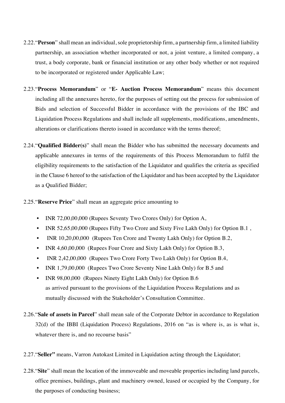- 2.22."**Person**" shall mean an individual, sole proprietorship firm, a partnership firm, a limited liability partnership, an association whether incorporated or not, a joint venture, a limited company, a trust, a body corporate, bank or financial institution or any other body whether or not required to be incorporated or registered under Applicable Law;
- 2.23."**Process Memorandum**" or "**E- Auction Process Memorandum**" means this document including all the annexures hereto, for the purposes of setting out the process for submission of Bids and selection of Successful Bidder in accordance with the provisions of the IBC and Liquidation Process Regulations and shall include all supplements, modifications, amendments, alterations or clarifications thereto issued in accordance with the terms thereof;
- 2.24."**Qualified Bidder(s)**" shall mean the Bidder who has submitted the necessary documents and applicable annexures in terms of the requirements of this Process Memorandum to fulfil the eligibility requirements to the satisfaction of the Liquidator and qualifies the criteria as specified in the Clause 6 hereof to the satisfaction of the Liquidator and has been accepted by the Liquidator as a Qualified Bidder;
- 2.25."**Reserve Price**" shall mean an aggregate price amounting to
	- INR 72,00,00,000 (Rupees Seventy Two Crores Only) for Option A,
	- INR 52,65,00,000 (Rupees Fifty Two Crore and Sixty Five Lakh Only) for Option B.1,
	- INR 10,20,00,000 (Rupees Ten Crore and Twenty Lakh Only) for Option B.2,
	- INR 4,60,00,000 (Rupees Four Crore and Sixty Lakh Only) for Option B.3,
	- INR 2,42,00,000 (Rupees Two Crore Forty Two Lakh Only) for Option B.4,
	- INR 1,79,00,000 (Rupees Two Crore Seventy Nine Lakh Only) for B.5 and
	- INR 98,00,000 (Rupees Ninety Eight Lakh Only) for Option B.6 as arrived pursuant to the provisions of the Liquidation Process Regulations and as mutually discussed with the Stakeholder's Consultation Committee.
- 2.26."**Sale of assets in Parcel**" shall mean sale of the Corporate Debtor in accordance to Regulation 32(d) of the IBBI (Liquidation Process) Regulations, 2016 on "as is where is, as is what is, whatever there is, and no recourse basis"
- 2.27."**Seller"** means, Varron Autokast Limited in Liquidation acting through the Liquidator;
- 2.28."**Site**" shall mean the location of the immoveable and moveable properties including land parcels, office premises, buildings, plant and machinery owned, leased or occupied by the Company, for the purposes of conducting business;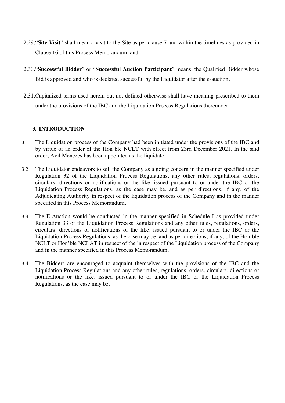- 2.29."**Site Visit**" shall mean a visit to the Site as per clause 7 and within the timelines as provided in Clause 16 of this Process Memorandum; and
- 2.30."**Successful Bidder**" or "**Successful Auction Participant**" means, the Qualified Bidder whose Bid is approved and who is declared successful by the Liquidator after the e-auction.
- 2.31.Capitalized terms used herein but not defined otherwise shall have meaning prescribed to them under the provisions of the IBC and the Liquidation Process Regulations thereunder.

## **3. INTRODUCTION**

- 3.1 The Liquidation process of the Company had been initiated under the provisions of the IBC and by virtue of an order of the Hon'ble NCLT with effect from 23rd December 2021. In the said order, Avil Menezes has been appointed as the liquidator.
- 3.2 The Liquidator endeavors to sell the Company as a going concern in the manner specified under Regulation 32 of the Liquidation Process Regulations, any other rules, regulations, orders, circulars, directions or notifications or the like, issued pursuant to or under the IBC or the Liquidation Process Regulations, as the case may be, and as per directions, if any, of the Adjudicating Authority in respect of the liquidation process of the Company and in the manner specified in this Process Memorandum.
- 3.3 The E-Auction would be conducted in the manner specified in Schedule I as provided under Regulation 33 of the Liquidation Process Regulations and any other rules, regulations, orders, circulars, directions or notifications or the like, issued pursuant to or under the IBC or the Liquidation Process Regulations, as the case may be, and as per directions, if any, of the Hon'ble NCLT or Hon'ble NCLAT in respect of the in respect of the Liquidation process of the Company and in the manner specified in this Process Memorandum.
- 3.4 The Bidders are encouraged to acquaint themselves with the provisions of the IBC and the Liquidation Process Regulations and any other rules, regulations, orders, circulars, directions or notifications or the like, issued pursuant to or under the IBC or the Liquidation Process Regulations, as the case may be.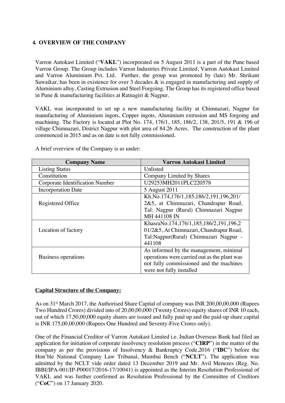## **4. OVERVIEW OF THE COMPANY**

Varron Autokast Limited ("**VAKL**") incorporated on 5 August 2011 is a part of the Pune based Varron Group. The Group includes Varron Industries Private Limited, Varron Autokast Limited and Varron Aluminium Pvt. Ltd. Further, the group was promoted by (late) Mr. Shrikant Sawaikar, has been in existence for over 3 decades & is engaged in manufacturing and supply of Aluminium alloy, Casting Extrusion and Steel Forgoing. The Group has its registered office based in Pune & manufacturing facilities at Ratnagiri & Nagpur.

VAKL was incorporated to set up a new manufacturing facility at Chimnazari, Nagpur for manufacturing of Aluminium ingots, Copper ingots, Aluminium extrusion and MS forgoing and machining. The Factory is located at Plot No. 174, 176/1, 185, 186/2, 138, 201/5, 191 & 196 of village Chimnazari, District Nagpur with plot area of 84.26 Acres. The construction of the plant commenced in 2015 and as on date is not fully commissioned.

| <b>Company Name</b>             | <b>Varron Autokast Limited</b>               |  |
|---------------------------------|----------------------------------------------|--|
| <b>Listing Status</b>           | Unlisted                                     |  |
| Constitution                    | Company Limited by Shares                    |  |
| Corporate Identification Number | U29253MH2011PLC220578                        |  |
| <b>Incorporation Date</b>       | 5 August 2011                                |  |
|                                 | Kh.No.174,176/1,185,186/2,191,196,201/       |  |
| Registered Office               | 2&5, at Chimnazari, Chandrapur Road,         |  |
|                                 | Tal: Nagpur (Rural) Chimnazari Nagpur        |  |
|                                 | MH 441108 IN                                 |  |
|                                 | KhasraNo.174,176/1,185,186/2,191,196,2       |  |
| Location of factory             | 01/2&5, At Chimnazari, Chandrapur Road,      |  |
|                                 | Tal: Nagpur (Rural) Chimnazari Nagpur -      |  |
|                                 | 441108                                       |  |
|                                 | As informed by the management, minimal       |  |
| Business operations             | operations were carried out as the plant was |  |
|                                 | not fully commissioned and the machines      |  |
|                                 | were not fully installed                     |  |

A brief overview of the Company is as under:

### **Capital Structure of the Company:**

As on 31<sup>st</sup> March 2017, the Authorised Share Capital of company was INR 200,00,00,000 (Rupees Two Hundred Crores) divided into of 20,00,00,000 (Twenty Crores) equity shares of INR 10 each, out of which 17,50,00,000 equity shares are issued and fully paid up and the paid-up share capital is INR 175,00,00,000 (Rupees One Hundred and Seventy-Five Crores only).

One of the Financial Creditor of Varron Autokast Limited i.e. Indian Overseas Bank had filed an application for initiation of corporate insolvency resolution process ("**CIRP**") in the matter of the company as per the provisions of Insolvency & Bankruptcy Code,2016 ("**IBC**") before the Hon'ble National Company Law Tribunal, Mumbai Bench ("**NCLT**"). The application was admitted by the NCLT vide order dated 13 December 2019 and Mr. Avil Menezes (Reg. No. IBBI/IPA-001/IP-P00017/2016-17/10041) is appointed as the Interim Resolution Professional of VAKL and was further confirmed as Resolution Professional by the Committee of Creditors ("**CoC**") on 17 January 2020.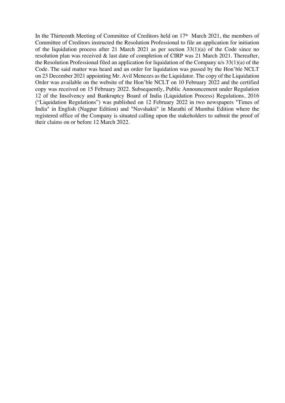In the Thirteenth Meeting of Committee of Creditors held on 17<sup>th</sup> March 2021, the members of Committee of Creditors instructed the Resolution Professional to file an application for initiation of the liquidation process after 21 March 2021 as per section 33(1)(a) of the Code since no resolution plan was received & last date of completion of CIRP was 21 March 2021. Thereafter, the Resolution Professional filed an application for liquidation of the Company u/s 33(1)(a) of the Code. The said matter was heard and an order for liquidation was passed by the Hon'ble NCLT on 23 December 2021 appointing Mr. Avil Menezes as the Liquidator. The copy of the Liquidation Order was available on the website of the Hon'ble NCLT on 10 February 2022 and the certified copy was received on 15 February 2022. Subsequently, Public Announcement under Regulation 12 of the Insolvency and Bankruptcy Board of India (Liquidation Process) Regulations, 2016 ("Liquidation Regulations") was published on 12 February 2022 in two newspapers "Times of India" in English (Nagpur Edition) and "Navshakti" in Marathi of Mumbai Edition where the registered office of the Company is situated calling upon the stakeholders to submit the proof of their claims on or before 12 March 2022.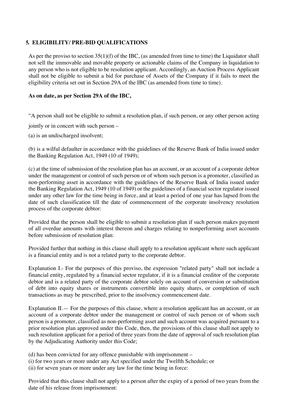## **5. ELIGIBILITY/ PRE-BID QUALIFICATIONS**

As per the proviso to section 35(1)(f) of the IBC, (as amended from time to time) the Liquidator shall not sell the immovable and movable property or actionable claims of the Company in liquidation to any person who is not eligible to be resolution applicant. Accordingly, an Auction Process Applicant shall not be eligible to submit a bid for purchase of Assets of the Company if it fails to meet the eligibility criteria set out in Section 29A of the IBC (as amended from time to time).

#### **As on date, as per Section 29A of the IBC,**

"A person shall not be eligible to submit a resolution plan, if such person, or any other person acting

jointly or in concert with such person –

(a) is an undischarged insolvent;

(b) is a wilful defaulter in accordance with the guidelines of the Reserve Bank of India issued under the Banking Regulation Act, 1949 (10 of 1949);

(c) at the time of submission of the resolution plan has an account, or an account of a corporate debtor under the management or control of such person or of whom such person is a promoter, classified as non-performing asset in accordance with the guidelines of the Reserve Bank of India issued under the Banking Regulation Act, 1949 (10 of 1949) or the guidelines of a financial sector regulator issued under any other law for the time being in force, and at least a period of one year has lapsed from the date of such classification till the date of commencement of the corporate insolvency resolution process of the corporate debtor:

Provided that the person shall be eligible to submit a resolution plan if such person makes payment of all overdue amounts with interest thereon and charges relating to nonperforming asset accounts before submission of resolution plan:

Provided further that nothing in this clause shall apply to a resolution applicant where such applicant is a financial entity and is not a related party to the corporate debtor.

Explanation I.- For the purposes of this proviso, the expression "related party" shall not include a financial entity, regulated by a financial sector regulator, if it is a financial creditor of the corporate debtor and is a related party of the corporate debtor solely on account of conversion or substitution of debt into equity shares or instruments convertible into equity shares, or completion of such transactions as may be prescribed, prior to the insolvency commencement date.

Explanation II.— For the purposes of this clause, where a resolution applicant has an account, or an account of a corporate debtor under the management or control of such person or of whom such person is a promoter, classified as non-performing asset and such account was acquired pursuant to a prior resolution plan approved under this Code, then, the provisions of this clause shall not apply to such resolution applicant for a period of three years from the date of approval of such resolution plan by the Adjudicating Authority under this Code;

- (d) has been convicted for any offence punishable with imprisonment –
- (i) for two years or more under any Act specified under the Twelfth Schedule; or
- (ii) for seven years or more under any law for the time being in force:

Provided that this clause shall not apply to a person after the expiry of a period of two years from the date of his release from imprisonment: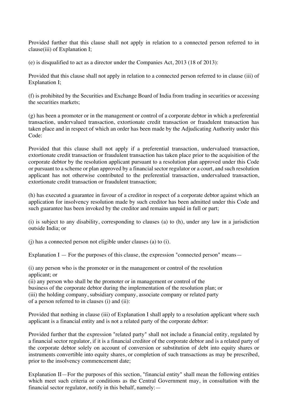Provided further that this clause shall not apply in relation to a connected person referred to in clause(iii) of Explanation I;

(e) is disqualified to act as a director under the Companies Act, 2013 (18 of 2013):

Provided that this clause shall not apply in relation to a connected person referred to in clause (iii) of Explanation I;

(f) is prohibited by the Securities and Exchange Board of India from trading in securities or accessing the securities markets;

(g) has been a promoter or in the management or control of a corporate debtor in which a preferential transaction, undervalued transaction, extortionate credit transaction or fraudulent transaction has taken place and in respect of which an order has been made by the Adjudicating Authority under this Code:

Provided that this clause shall not apply if a preferential transaction, undervalued transaction, extortionate credit transaction or fraudulent transaction has taken place prior to the acquisition of the corporate debtor by the resolution applicant pursuant to a resolution plan approved under this Code or pursuant to a scheme or plan approved by a financial sector regulator or a court, and such resolution applicant has not otherwise contributed to the preferential transaction, undervalued transaction, extortionate credit transaction or fraudulent transaction;

(h) has executed a guarantee in favour of a creditor in respect of a corporate debtor against which an application for insolvency resolution made by such creditor has been admitted under this Code and such guarantee has been invoked by the creditor and remains unpaid in full or part;

(i) is subject to any disability, corresponding to clauses (a) to (h), under any law in a jurisdiction outside India; or

(j) has a connected person not eligible under clauses (a) to (i).

Explanation I — For the purposes of this clause, the expression "connected person" means—

(i) any person who is the promoter or in the management or control of the resolution applicant; or

(ii) any person who shall be the promoter or in management or control of the business of the corporate debtor during the implementation of the resolution plan; or (iii) the holding company, subsidiary company, associate company or related party of a person referred to in clauses (i) and (ii):

Provided that nothing in clause (iii) of Explanation I shall apply to a resolution applicant where such applicant is a financial entity and is not a related party of the corporate debtor:

Provided further that the expression "related party" shall not include a financial entity, regulated by a financial sector regulator, if it is a financial creditor of the corporate debtor and is a related party of the corporate debtor solely on account of conversion or substitution of debt into equity shares or instruments convertible into equity shares, or completion of such transactions as may be prescribed, prior to the insolvency commencement date;

Explanation II—For the purposes of this section, "financial entity" shall mean the following entities which meet such criteria or conditions as the Central Government may, in consultation with the financial sector regulator, notify in this behalf, namely:—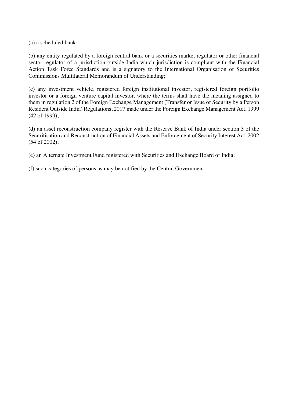(a) a scheduled bank;

(b) any entity regulated by a foreign central bank or a securities market regulator or other financial sector regulator of a jurisdiction outside India which jurisdiction is compliant with the Financial Action Task Force Standards and is a signatory to the International Organisation of Securities Commissions Multilateral Memorandum of Understanding;

(c) any investment vehicle, registered foreign institutional investor, registered foreign portfolio investor or a foreign venture capital investor, where the terms shall have the meaning assigned to them in regulation 2 of the Foreign Exchange Management (Transfer or Issue of Security by a Person Resident Outside India) Regulations, 2017 made under the Foreign Exchange Management Act, 1999 (42 of 1999);

(d) an asset reconstruction company register with the Reserve Bank of India under section 3 of the Securitisation and Reconstruction of Financial Assets and Enforcement of Security Interest Act, 2002 (54 of 2002);

(e) an Alternate Investment Fund registered with Securities and Exchange Board of India;

(f) such categories of persons as may be notified by the Central Government.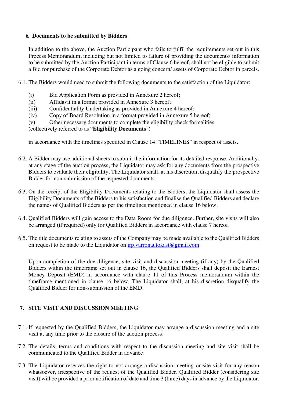### **6. Documents to be submitted by Bidders**

In addition to the above, the Auction Participant who fails to fulfil the requirements set out in this Process Memorandum, including but not limited to failure of providing the documents/ information to be submitted by the Auction Participant in terms of Clause 6 hereof, shall not be eligible to submit a Bid for purchase of the Corporate Debtor as a going concern/ assets of Corporate Debtor in parcels.

- 6.1. The Bidders would need to submit the following documents to the satisfaction of the Liquidator:
	- (i) Bid Application Form as provided in Annexure 2 hereof;
	- (ii) Affidavit in a format provided in Annexure 3 hereof;
	- (iii) Confidentiality Undertaking as provided in Annexure 4 hereof;
	- (iv) Copy of Board Resolution in a format provided in Annexure 5 hereof;
	- (v) Other necessary documents to complete the eligibility check formalities

#### (collectively referred to as "**Eligibility Documents**")

in accordance with the timelines specified in Clause 14 "TIMELINES" in respect of assets.

- 6.2. A Bidder may use additional sheets to submit the information for its detailed response. Additionally, at any stage of the auction process, the Liquidator may ask for any documents from the prospective Bidders to evaluate their eligibility. The Liquidator shall, at his discretion, disqualify the prospective Bidder for non-submission of the requested documents.
- 6.3. On the receipt of the Eligibility Documents relating to the Bidders, the Liquidator shall assess the Eligibility Documents of the Bidders to his satisfaction and finalise the Qualified Bidders and declare the names of Qualified Bidders as per the timelines mentioned in clause 16 below.
- 6.4. Qualified Bidders will gain access to the Data Room for due diligence. Further, site visits will also be arranged (if required) only for Qualified Bidders in accordance with clause 7 hereof.
- 6.5. The title documents relating to assets of the Company may be made available to the Qualified Bidders on request to be made to the Liquidator on irp.varronautokast@gmail.com

Upon completion of the due diligence, site visit and discussion meeting (if any) by the Qualified Bidders within the timeframe set out in clause 16, the Qualified Bidders shall deposit the Earnest Money Deposit (EMD) in accordance with clause 11 of this Process memorandum within the timeframe mentioned in clause 16 below. The Liquidator shall, at his discretion disqualify the Qualified Bidder for non-submission of the EMD.

## **7. SITE VISIT AND DISCUSSION MEETING**

- 7.1. If requested by the Qualified Bidders, the Liquidator may arrange a discussion meeting and a site visit at any time prior to the closure of the auction process.
- 7.2. The details, terms and conditions with respect to the discussion meeting and site visit shall be communicated to the Qualified Bidder in advance.
- 7.3. The Liquidator reserves the right to not arrange a discussion meeting or site visit for any reason whatsoever, irrespective of the request of the Qualified Bidder. Qualified Bidder (considering site visit) will be provided a prior notification of date and time 3 (three) days in advance by the Liquidator.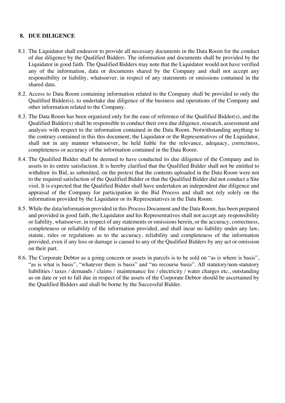## **8. DUE DILIGENCE**

- 8.1. The Liquidator shall endeavor to provide all necessary documents in the Data Room for the conduct of due diligence by the Qualified Bidders. The information and documents shall be provided by the Liquidator in good faith. The Qualified Bidders may note that the Liquidator would not have verified any of the information, data or documents shared by the Company and shall not accept any responsibility or liability, whatsoever, in respect of any statements or omissions contained in the shared data.
- 8.2. Access to Data Room containing information related to the Company shall be provided to only the Qualified Bidder(s), to undertake due diligence of the business and operations of the Company and other information related to the Company.
- 8.3. The Data Room has been organized only for the ease of reference of the Qualified Bidder(s), and the Qualified Bidder(s) shall be responsible to conduct their own due diligence, research, assessment and analysis with respect to the information contained in the Data Room. Notwithstanding anything to the contrary contained in this this document, the Liquidator or the Representatives of the Liquidator, shall not in any manner whatsoever, be held liable for the relevance, adequacy, correctness, completeness or accuracy of the information contained in the Data Room.
- 8.4. The Qualified Bidder shall be deemed to have conducted its due diligence of the Company and its assets to its entire satisfaction. It is hereby clarified that the Qualified Bidder shall not be entitled to withdraw its Bid, as submitted, on the pretext that the contents uploaded in the Data Room were not to the required satisfaction of the Qualified Bidder or that the Qualified Bidder did not conduct a Site visit. It is expected that the Qualified Bidder shall have undertaken an independent due diligence and appraisal of the Company for participation in the Bid Process and shall not rely solely on the information provided by the Liquidator or its Representatives in the Data Room.
- 8.5. While the data/information provided in this Process Document and the Data Room, has been prepared and provided in good faith, the Liquidator and his Representatives shall not accept any responsibility or liability, whatsoever, in respect of any statements or omissions herein, or the accuracy, correctness, completeness or reliability of the information provided, and shall incur no liability under any law, statute, rules or regulations as to the accuracy, reliability and completeness of the information provided, even if any loss or damage is caused to any of the Qualified Bidders by any act or omission on their part.
- 8.6. The Corporate Debtor as a going concern or assets in parcels is to be sold on "as is where is basis", "as is what is basis", "whatever there is basis" and "no recourse basis". All statutory/non-statutory liabilities / taxes / demands / claims / maintenance fee / electricity / water charges etc., outstanding as on date or yet to fall due in respect of the assets of the Corporate Debtor should be ascertained by the Qualified Bidders and shall be borne by the Successful Bidder.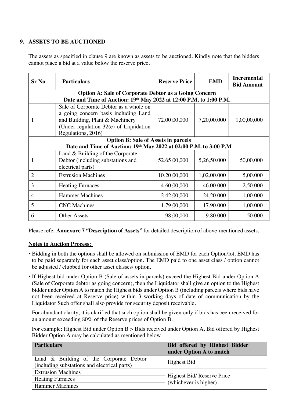### **9. ASSETS TO BE AUCTIONED**

The assets as specified in clause 9 are known as assets to be auctioned. Kindly note that the bidders cannot place a bid at a value below the reserve price.

| <b>Sr No</b>                               | <b>Particulars</b>                                                 | <b>Reserve Price</b> | <b>EMD</b>  | <b>Incremental</b><br><b>Bid Amount</b> |
|--------------------------------------------|--------------------------------------------------------------------|----------------------|-------------|-----------------------------------------|
|                                            | <b>Option A: Sale of Corporate Debtor as a Going Concern</b>       |                      |             |                                         |
|                                            | Date and Time of Auction: 19th May 2022 at 12:00 P.M. to 1:00 P.M. |                      |             |                                         |
|                                            | Sale of Corporate Debtor as a whole on                             |                      |             |                                         |
|                                            | a going concern basis including Land                               |                      |             |                                         |
| 1                                          | and Building, Plant & Machinery                                    | 72,00,00,000         | 7,20,00,000 | 1,00,00,000                             |
|                                            | (Under regulation $32(e)$ of Liquidation                           |                      |             |                                         |
|                                            | Regulations, 2016)                                                 |                      |             |                                         |
| <b>Option B: Sale of Assets in parcels</b> |                                                                    |                      |             |                                         |
|                                            | Date and Time of Auction: 19th May 2022 at 02:00 P.M. to 3:00 P.M  |                      |             |                                         |
|                                            | Land $&$ Building of the Corporate                                 |                      |             |                                         |
| 1                                          | Debtor (including substations and                                  | 52,65,00,000         | 5,26,50,000 | 50,00,000                               |
|                                            | electrical parts)                                                  |                      |             |                                         |
| 2                                          | <b>Extrusion Machines</b>                                          | 10,20,00,000         | 1,02,00,000 | 5,00,000                                |
| 3                                          | <b>Heating Furnaces</b>                                            | 4,60,00,000          | 46,00,000   | 2,50,000                                |
| $\overline{4}$                             | <b>Hammer Machines</b>                                             | 2,42,00,000          | 24, 20, 000 | 1,00,000                                |
| 5                                          | <b>CNC</b> Machines                                                | 1,79,00,000          | 17,90,000   | 1,00,000                                |
| 6                                          | <b>Other Assets</b>                                                | 98,00,000            | 9,80,000    | 50,000                                  |

Please refer **Annexure 7 "Description of Assets"** for detailed description of above-mentioned assets.

### **Notes to Auction Process:**

- Bidding in both the options shall be allowed on submission of EMD for each Option/lot. EMD has to be paid separately for each asset class/option. The EMD paid to one asset class / option cannot be adjusted / clubbed for other asset classes/ option.
- If Highest bid under Option B (Sale of assets in parcels) exceed the Highest Bid under Option A (Sale of Corporate debtor as going concern), then the Liquidator shall give an option to the Highest bidder under Option A to match the Highest bids under Option B (including parcels where bids have not been received at Reserve price) within 3 working days of date of communication by the Liquidator Such offer shall also provide for security deposit receivable.

For abundant clarity, it is clarified that such option shall be given only if bids has been received for an amount exceeding 80% of the Reserve prices of Option B.

For example: Highest Bid under Option B > Bids received under Option A. Bid offered by Highest Bidder Option A may be calculated as mentioned below

| <b>Particulars</b>                                                                      | Bid offered by Highest Bidder<br>under Option A to match |  |
|-----------------------------------------------------------------------------------------|----------------------------------------------------------|--|
| Land & Building of the Corporate Debtor<br>(including substations and electrical parts) | Highest Bid                                              |  |
| <b>Extrusion Machines</b>                                                               | Highest Bid/Reserve Price<br>(whichever is higher)       |  |
| <b>Heating Furnaces</b>                                                                 |                                                          |  |
| <b>Hammer Machines</b>                                                                  |                                                          |  |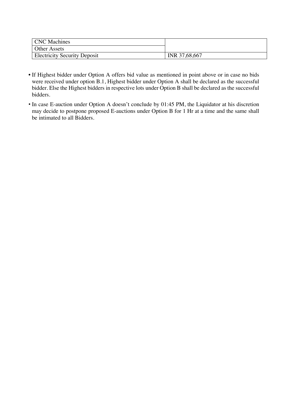| <b>CNC</b> Machines                 |               |
|-------------------------------------|---------------|
| <b>Other Assets</b>                 |               |
| <b>Electricity Security Deposit</b> | INR 37,68,667 |

- If Highest bidder under Option A offers bid value as mentioned in point above or in case no bids were received under option B.1, Highest bidder under Option A shall be declared as the successful bidder. Else the Highest bidders in respective lots under Option B shall be declared as the successful bidders.
- In case E-auction under Option A doesn't conclude by 01:45 PM, the Liquidator at his discretion may decide to postpone proposed E-auctions under Option B for 1 Hr at a time and the same shall be intimated to all Bidders.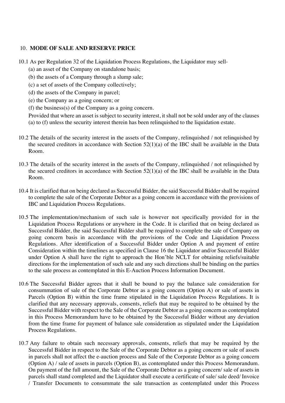#### 10. **MODE OF SALE AND RESERVE PRICE**

- 10.1 As per Regulation 32 of the Liquidation Process Regulations, the Liquidator may sell-
	- (a) an asset of the Company on standalone basis;
	- (b) the assets of a Company through a slump sale;
	- (c) a set of assets of the Company collectively;
	- (d) the assets of the Company in parcel;
	- (e) the Company as a going concern; or
	- (f) the business(s) of the Company as a going concern.
	- Provided that where an asset is subject to security interest, it shall not be sold under any of the clauses (a) to (f) unless the security interest therein has been relinquished to the liquidation estate.
- 10.2 The details of the security interest in the assets of the Company, relinquished / not relinquished by the secured creditors in accordance with Section 52(1)(a) of the IBC shall be available in the Data Room.
- 10.3 The details of the security interest in the assets of the Company, relinquished / not relinquished by the secured creditors in accordance with Section 52(1)(a) of the IBC shall be available in the Data Room.
- 10.4 It is clarified that on being declared as Successful Bidder, the said Successful Bidder shall be required to complete the sale of the Corporate Debtor as a going concern in accordance with the provisions of IBC and Liquidation Process Regulations.
- 10.5 The implementation/mechanism of such sale is however not specifically provided for in the Liquidation Process Regulations or anywhere in the Code. It is clarified that on being declared as Successful Bidder, the said Successful Bidder shall be required to complete the sale of Company on going concern basis in accordance with the provisions of the Code and Liquidation Process Regulations. After identification of a Successful Bidder under Option A and payment of entire Consideration within the timelines as specified in Clause 16 the Liquidator and/or Successful Bidder under Option A shall have the right to approach the Hon'ble NCLT for obtaining reliefs/suitable directions for the implementation of such sale and any such directions shall be binding on the parties to the sale process as contemplated in this E-Auction Process Information Document.
- 10.6 The Successful Bidder agrees that it shall be bound to pay the balance sale consideration for consummation of sale of the Corporate Debtor as a going concern (Option A) or sale of assets in Parcels (Option B) within the time frame stipulated in the Liquidation Process Regulations. It is clarified that any necessary approvals, consents, reliefs that may be required to be obtained by the Successful Bidder with respect to the Sale of the Corporate Debtor as a going concern as contemplated in this Process Memorandum have to be obtained by the Successful Bidder without any deviation from the time frame for payment of balance sale consideration as stipulated under the Liquidation Process Regulations.
- 10.7 Any failure to obtain such necessary approvals, consents, reliefs that may be required by the Successful Bidder in respect to the Sale of the Corporate Debtor as a going concern or sale of assets in parcels shall not affect the e-auction process and Sale of the Corporate Debtor as a going concern (Option A) / sale of assets in parcels (Option B), as contemplated under this Process Memorandum. On payment of the full amount, the Sale of the Corporate Debtor as a going concern/ sale of assets in parcels shall stand completed and the Liquidator shall execute a certificate of sale/ sale deed/ Invoice / Transfer Documents to consummate the sale transaction as contemplated under this Process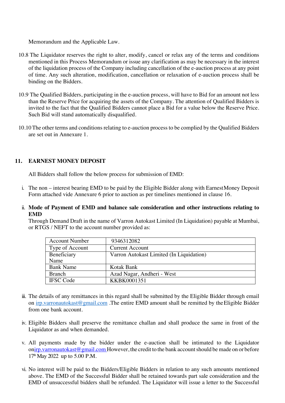Memorandum and the Applicable Law.

- 10.8 The Liquidator reserves the right to alter, modify, cancel or relax any of the terms and conditions mentioned in this Process Memorandum or issue any clarification as may be necessary in the interest of the liquidation process of the Company including cancellation of the e-auction process at any point of time. Any such alteration, modification, cancellation or relaxation of e-auction process shall be binding on the Bidders.
- 10.9 The Qualified Bidders, participating in the e-auction process, will have to Bid for an amount not less than the Reserve Price for acquiring the assets of the Company. The attention of Qualified Bidders is invited to the fact that the Qualified Bidders cannot place a Bid for a value below the Reserve Price. Such Bid will stand automatically disqualified.
- 10.10The other terms and conditions relating to e-auction process to be complied by the Qualified Bidders are set out in Annexure 1.

### **11. EARNEST MONEY DEPOSIT**

All Bidders shall follow the below process for submission of EMD:

- i. The non interest bearing EMD to be paid by the Eligible Bidder along with EarnestMoney Deposit Form attached vide Annexure 6 prior to auction as per timelines mentioned in clause 16.
- ii. **Mode of Payment of EMD and balance sale consideration and other instructions relating to EMD**

Through Demand Draft in the name of Varron Autokast Limited (In Liquidation) payable at Mumbai, or RTGS / NEFT to the account number provided as:

| <b>Account Number</b> | 9346312082                               |
|-----------------------|------------------------------------------|
| Type of Account       | <b>Current Account</b>                   |
| Beneficiary           | Varron Autokast Limited (In Liquidation) |
| Name                  |                                          |
| <b>Bank Name</b>      | Kotak Bank                               |
| <b>Branch</b>         | Azad Nagar, Andheri - West               |
| <b>IFSC</b> Code      | KKBK0001351                              |

- iii. The details of any remittances in this regard shall be submitted by the Eligible Bidder through email on irp.varronautokast@gmail.com .The entire EMD amount shall be remitted by the Eligible Bidder from one bank account.
- iv. Eligible Bidders shall preserve the remittance challan and shall produce the same in front of the Liquidator as and when demanded.
- v. All payments made by the bidder under the e-auction shall be intimated to the Liquidator onirp.varronautokast@gmail.com However, the credit to the bank account should be made on or before 17<sup>th</sup> May 2022 up to 5.00 P.M.
- vi. No interest will be paid to the Bidders/Eligible Bidders in relation to any such amounts mentioned above. The EMD of the Successful Bidder shall be retained towards part sale consideration and the EMD of unsuccessful bidders shall be refunded. The Liquidator will issue a letter to the Successful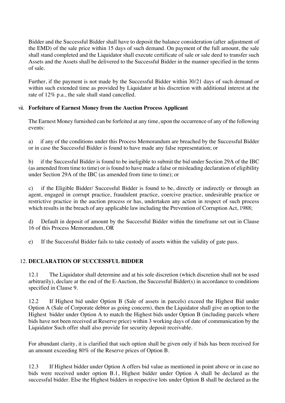Bidder and the Successful Bidder shall have to deposit the balance consideration (after adjustment of the EMD) of the sale price within 15 days of such demand. On payment of the full amount, the sale shall stand completed and the Liquidator shall execute certificate of sale or sale deed to transfer such Assets and the Assets shall be delivered to the Successful Bidder in the manner specified in the terms of sale.

Further, if the payment is not made by the Successful Bidder within 30/21 days of such demand or within such extended time as provided by Liquidator at his discretion with additional interest at the rate of 12% p.a., the sale shall stand cancelled.

### vii. **Forfeiture of Earnest Money from the Auction Process Applicant**

The Earnest Money furnished can be forfeited at any time, upon the occurrence of any of the following events:

a) if any of the conditions under this Process Memorandum are breached by the Successful Bidder or in case the Successful Bidder is found to have made any false representation; or

b) if the Successful Bidder is found to be ineligible to submit the bid under Section 29A of the IBC (as amended from time to time) or is found to have made a false or misleading declaration of eligibility under Section 29A of the IBC (as amended from time to time); or

c) if the Eligible Bidder/ Successful Bidder is found to be, directly or indirectly or through an agent, engaged in corrupt practice, fraudulent practice, coercive practice, undesirable practice or restrictive practice in the auction process or has, undertaken any action in respect of such process which results in the breach of any applicable law including the Prevention of Corruption Act, 1988;

d) Default in deposit of amount by the Successful Bidder within the timeframe set out in Clause 16 of this Process Memorandum, OR

e) If the Successful Bidder fails to take custody of assets within the validity of gate pass.

### 12. **DECLARATION OF SUCCESSFUL BIDDER**

12.1 The Liquidator shall determine and at his sole discretion (which discretion shall not be used arbitrarily), declare at the end of the E-Auction, the Successful Bidder(s) in accordance to conditions specified in Clause 9.

12.2 If Highest bid under Option B (Sale of assets in parcels) exceed the Highest Bid under Option A (Sale of Corporate debtor as going concern), then the Liquidator shall give an option to the Highest bidder under Option A to match the Highest bids under Option B (including parcels where bids have not been received at Reserve price) within 3 working days of date of communication by the Liquidator Such offer shall also provide for security deposit receivable.

For abundant clarity, it is clarified that such option shall be given only if bids has been received for an amount exceeding 80% of the Reserve prices of Option B.

12.3 If Highest bidder under Option A offers bid value as mentioned in point above or in case no bids were received under option B.1, Highest bidder under Option A shall be declared as the successful bidder. Else the Highest bidders in respective lots under Option B shall be declared as the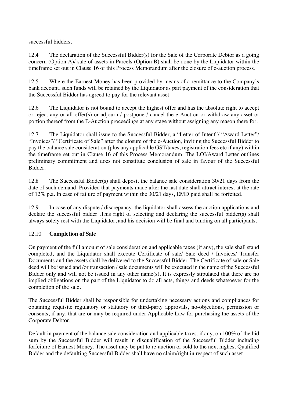successful bidders.

12.4 The declaration of the Successful Bidder(s) for the Sale of the Corporate Debtor as a going concern (Option A)/ sale of assets in Parcels (Option B) shall be done by the Liquidator within the timeframe set out in Clause 16 of this Process Memorandum after the closure of e-auction process.

12.5 Where the Earnest Money has been provided by means of a remittance to the Company's bank account, such funds will be retained by the Liquidator as part payment of the consideration that the Successful Bidder has agreed to pay for the relevant asset.

12.6 The Liquidator is not bound to accept the highest offer and has the absolute right to accept or reject any or all offer(s) or adjourn / postpone / cancel the e-Auction or withdraw any asset or portion thereof from the E-Auction proceedings at any stage without assigning any reason there for.

12.7 The Liquidator shall issue to the Successful Bidder, a "Letter of Intent"/ "Award Letter"/ "Invoices"/ "Certificate of Sale" after the closure of the e-Auction, inviting the Successful Bidder to pay the balance sale consideration (plus any applicable GST/taxes, registration fees etc if any) within the timeframe set out in Clause 16 of this Process Memorandum. The LOI/Award Letter outlines preliminary commitment and does not constitute conclusion of sale in favour of the Successful Bidder.

12.8 The Successful Bidder(s) shall deposit the balance sale consideration 30/21 days from the date of such demand. Provided that payments made after the last date shall attract interest at the rate of 12% p.a. In case of failure of payment within the 30/21 days, EMD paid shall be forfeited.

12.9 In case of any dispute / discrepancy, the liquidator shall assess the auction applications and declare the successful bidder .This right of selecting and declaring the successful bidder(s) shall always solely rest with the Liquidator, and his decision will be final and binding on all participants.

### 12.10 **Completion of Sale**

On payment of the full amount of sale consideration and applicable taxes (if any), the sale shall stand completed, and the Liquidator shall execute Certificate of sale/ Sale deed / Invoices/ Transfer Documents and the assets shall be delivered to the Successful Bidder. The Certificate of sale or Sale deed will be issued and /or transaction / sale documents will be executed in the name of the Successful Bidder only and will not be issued in any other name(s). It is expressly stipulated that there are no implied obligations on the part of the Liquidator to do all acts, things and deeds whatsoever for the completion of the sale.

The Successful Bidder shall be responsible for undertaking necessary actions and compliances for obtaining requisite regulatory or statutory or third-party approvals, no-objections, permission or consents, if any, that are or may be required under Applicable Law for purchasing the assets of the Corporate Debtor.

Default in payment of the balance sale consideration and applicable taxes, if any, on 100% of the bid sum by the Successful Bidder will result in disqualification of the Successful Bidder including forfeiture of Earnest Money. The asset may be put to re-auction or sold to the next highest Qualified Bidder and the defaulting Successful Bidder shall have no claim/right in respect of such asset.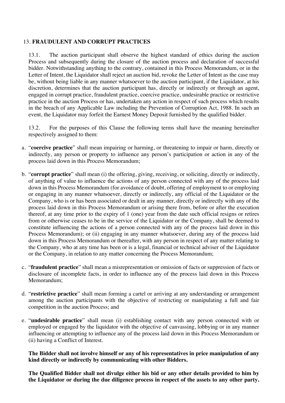#### 13. **FRAUDULENT AND CORRUPT PRACTICES**

13.1. The auction participant shall observe the highest standard of ethics during the auction Process and subsequently during the closure of the auction process and declaration of successful bidder. Notwithstanding anything to the contrary, contained in this Process Memorandum, or in the Letter of Intent, the Liquidator shall reject an auction bid, revoke the Letter of Intent as the case may be, without being liable in any manner whatsoever to the auction participant, if the Liquidator, at his discretion, determines that the auction participant has, directly or indirectly or through an agent, engaged in corrupt practice, fraudulent practice, coercive practice, undesirable practice or restrictive practice in the auction Process or has, undertaken any action in respect of such process which results in the breach of any Applicable Law including the Prevention of Corruption Act, 1988. In such an event, the Liquidator may forfeit the Earnest Money Deposit furnished by the qualified bidder.

13.2. For the purposes of this Clause the following terms shall have the meaning hereinafter respectively assigned to them:

- a. "**coercive practice**" shall mean impairing or harming, or threatening to impair or harm, directly or indirectly, any person or property to influence any person's participation or action in any of the process laid down in this Process Memorandum;
- b. "**corrupt practice**" shall mean (i) the offering, giving, receiving, or soliciting, directly or indirectly, of anything of value to influence the actions of any person connected with any of the process laid down in this Process Memorandum (for avoidance of doubt, offering of employment to or employing or engaging in any manner whatsoever, directly or indirectly, any official of the Liquidator or the Company, who is or has been associated or dealt in any manner, directly or indirectly with any of the process laid down in this Process Memorandum or arising there from, before or after the execution thereof, at any time prior to the expiry of 1 (one) year from the date such official resigns or retires from or otherwise ceases to be in the service of the Liquidator or the Company, shall be deemed to constitute influencing the actions of a person connected with any of the process laid down in this Process Memorandum); or (ii) engaging in any manner whatsoever, during any of the process laid down in this Process Memorandum or thereafter, with any person in respect of any matter relating to the Company, who at any time has been or is a legal, financial or technical adviser of the Liquidator or the Company, in relation to any matter concerning the Process Memorandum;
- c. "**fraudulent practice**" shall mean a misrepresentation or omission of facts or suppression of facts or disclosure of incomplete facts, in order to influence any of the process laid down in this Process Memorandum;
- d. "**restrictive practice**" shall mean forming a cartel or arriving at any understanding or arrangement among the auction participants with the objective of restricting or manipulating a full and fair competition in the auction Process; and
- e. "**undesirable practice**" shall mean (i) establishing contact with any person connected with or employed or engaged by the liquidator with the objective of canvassing, lobbying or in any manner influencing or attempting to influence any of the process laid down in this Process Memorandum or (ii) having a Conflict of Interest.

**The Bidder shall not involve himself or any of his representatives in price manipulation of any kind directly or indirectly by communicating with other Bidders.** 

**The Qualified Bidder shall not divulge either his bid or any other details provided to him by the Liquidator or during the due diligence process in respect of the assets to any other party.**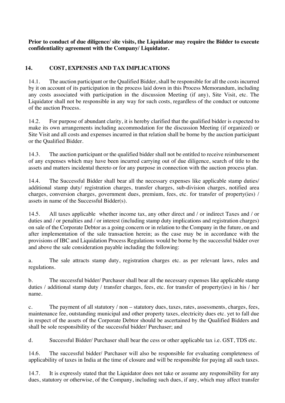**Prior to conduct of due diligence/ site visits, the Liquidator may require the Bidder to execute confidentiality agreement with the Company/ Liquidator.**

## **14. COST, EXPENSES AND TAX IMPLICATIONS**

14.1. The auction participant or the Qualified Bidder, shall be responsible for all the costs incurred by it on account of its participation in the process laid down in this Process Memorandum, including any costs associated with participation in the discussion Meeting (if any), Site Visit, etc. The Liquidator shall not be responsible in any way for such costs, regardless of the conduct or outcome of the auction Process.

14.2. For purpose of abundant clarity, it is hereby clarified that the qualified bidder is expected to make its own arrangements including accommodation for the discussion Meeting (if organized) or Site Visit and all costs and expenses incurred in that relation shall be borne by the auction participant or the Qualified Bidder.

14.3. The auction participant or the qualified bidder shall not be entitled to receive reimbursement of any expenses which may have been incurred carrying out of due diligence, search of title to the assets and matters incidental thereto or for any purpose in connection with the auction process plan.

14.4. The Successful Bidder shall bear all the necessary expenses like applicable stamp duties/ additional stamp duty/ registration charges, transfer charges, sub-division charges, notified area charges, conversion charges, government dues, premium, fees, etc. for transfer of property(ies) / assets in name of the Successful Bidder(s).

14.5. All taxes applicable whether income tax, any other direct and / or indirect Taxes and / or duties and / or penalties and / or interest (including stamp duty implications and registration charges) on sale of the Corporate Debtor as a going concern or in relation to the Company in the future, on and after implementation of the sale transaction herein; as the case may be in accordance with the provisions of IBC and Liquidation Process Regulations would be borne by the successful bidder over and above the sale consideration payable including the following:

a. The sale attracts stamp duty, registration charges etc. as per relevant laws, rules and regulations.

b. The successful bidder/ Purchaser shall bear all the necessary expenses like applicable stamp duties / additional stamp duty / transfer charges, fees, etc. for transfer of property(ies) in his / her name.

c. The payment of all statutory / non – statutory dues, taxes, rates, assessments, charges, fees, maintenance fee, outstanding municipal and other property taxes, electricity dues etc. yet to fall due in respect of the assets of the Corporate Debtor should be ascertained by the Qualified Bidders and shall be sole responsibility of the successful bidder/ Purchaser; and

d. Successful Bidder/ Purchaser shall bear the cess or other applicable tax i.e. GST, TDS etc.

14.6. The successful bidder/ Purchaser will also be responsible for evaluating completeness of applicability of taxes in India at the time of closure and will be responsible for paying all such taxes.

14.7. It is expressly stated that the Liquidator does not take or assume any responsibility for any dues, statutory or otherwise, of the Company, including such dues, if any, which may affect transfer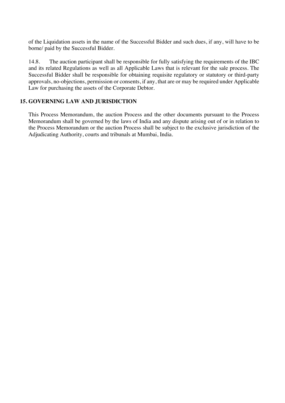of the Liquidation assets in the name of the Successful Bidder and such dues, if any, will have to be borne/ paid by the Successful Bidder.

14.8. The auction participant shall be responsible for fully satisfying the requirements of the IBC and its related Regulations as well as all Applicable Laws that is relevant for the sale process. The Successful Bidder shall be responsible for obtaining requisite regulatory or statutory or third-party approvals, no-objections, permission or consents, if any, that are or may be required under Applicable Law for purchasing the assets of the Corporate Debtor.

#### **15. GOVERNING LAW AND JURISDICTION**

This Process Memorandum, the auction Process and the other documents pursuant to the Process Memorandum shall be governed by the laws of India and any dispute arising out of or in relation to the Process Memorandum or the auction Process shall be subject to the exclusive jurisdiction of the Adjudicating Authority, courts and tribunals at Mumbai, India.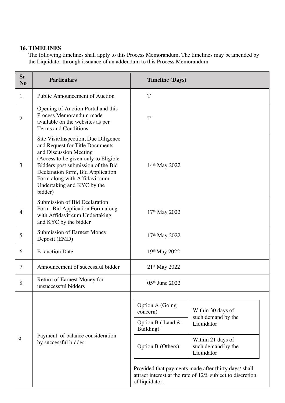## **16. TIMELINES**

The following timelines shall apply to this Process Memorandum. The timelines may beamended by the Liquidator through issuance of an addendum to this Process Memorandum

| Sr<br>N <sub>o</sub> | <b>Particulars</b>                                                                                                                                                                                                                                                                             | <b>Timeline (Days)</b>          |                                                                                                                   |
|----------------------|------------------------------------------------------------------------------------------------------------------------------------------------------------------------------------------------------------------------------------------------------------------------------------------------|---------------------------------|-------------------------------------------------------------------------------------------------------------------|
| 1                    | Public Announcement of Auction                                                                                                                                                                                                                                                                 | T                               |                                                                                                                   |
| $\overline{2}$       | Opening of Auction Portal and this<br>Process Memorandum made<br>available on the websites as per<br>Terms and Conditions                                                                                                                                                                      | T                               |                                                                                                                   |
| 3                    | Site Visit/Inspection, Due Diligence<br>and Request for Title Documents<br>and Discussion Meeting<br>(Access to be given only to Eligible<br>Bidders post submission of the Bid<br>Declaration form, Bid Application<br>Form along with Affidavit cum<br>Undertaking and KYC by the<br>bidder) | 14th May 2022                   |                                                                                                                   |
| 4                    | Submission of Bid Declaration<br>Form, Bid Application Form along<br>with Affidavit cum Undertaking<br>and KYC by the bidder                                                                                                                                                                   | 17th May 2022                   |                                                                                                                   |
| 5                    | <b>Submission of Earnest Money</b><br>Deposit (EMD)                                                                                                                                                                                                                                            | 17 <sup>th</sup> May 2022       |                                                                                                                   |
| 6                    | E- auction Date                                                                                                                                                                                                                                                                                | 19th May 2022                   |                                                                                                                   |
| $\overline{7}$       | Announcement of successful bidder                                                                                                                                                                                                                                                              | $21st$ May 2022                 |                                                                                                                   |
| 8                    | Return of Earnest Money for<br>unsuccessful bidders                                                                                                                                                                                                                                            | 05th June 2022                  |                                                                                                                   |
|                      | Payment of balance consideration<br>by successful bidder                                                                                                                                                                                                                                       | Option A (Going<br>concern)     | Within 30 days of<br>such demand by the                                                                           |
|                      |                                                                                                                                                                                                                                                                                                | Option B (Land $&$<br>Building) | Liquidator                                                                                                        |
| 9                    |                                                                                                                                                                                                                                                                                                | Option B (Others)               | Within 21 days of<br>such demand by the<br>Liquidator                                                             |
|                      |                                                                                                                                                                                                                                                                                                | of liquidator.                  | Provided that payments made after thirty days/ shall<br>attract interest at the rate of 12% subject to discretion |